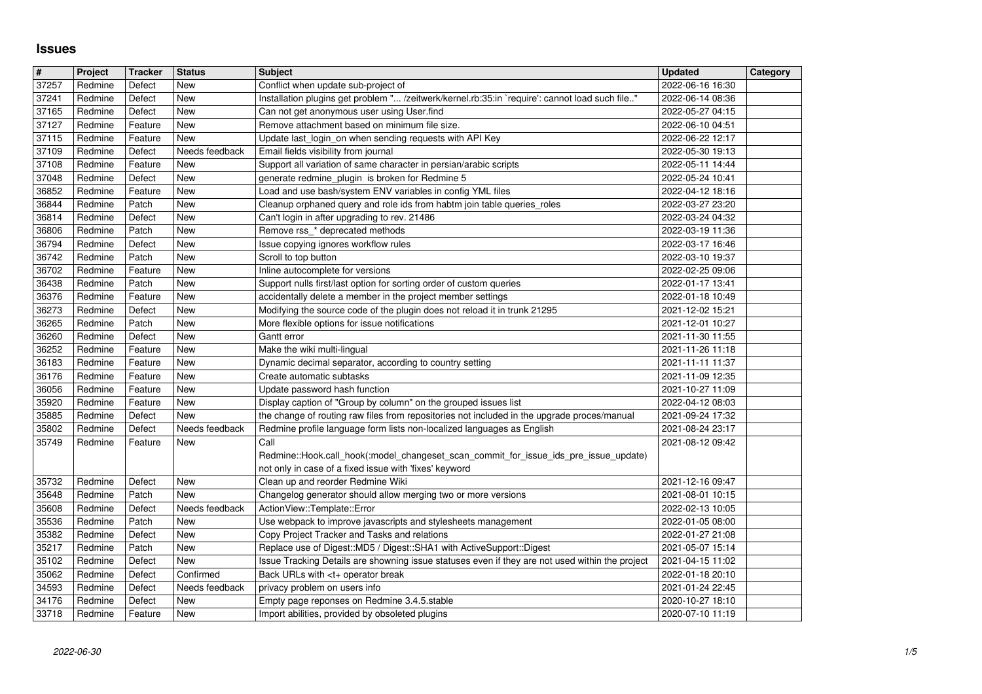## **Issues**

| $\overline{\mathbf{H}}$ | Project            | <b>Tracker</b>     | <b>Status</b>         | <b>Subject</b>                                                                                                                                                             | <b>Updated</b>                       | <b>Category</b> |
|-------------------------|--------------------|--------------------|-----------------------|----------------------------------------------------------------------------------------------------------------------------------------------------------------------------|--------------------------------------|-----------------|
| 37257<br>37241          | Redmine<br>Redmine | Defect<br>Defect   | New<br>New            | Conflict when update sub-project of<br>Installation plugins get problem " /zeitwerk/kernel.rb:35:in `require': cannot load such file"                                      | 2022-06-16 16:30<br>2022-06-14 08:36 |                 |
| 37165                   | Redmine            | Defect             | <b>New</b>            | Can not get anonymous user using User.find                                                                                                                                 | 2022-05-27 04:15                     |                 |
| 37127                   | Redmine            | Feature            | New                   | Remove attachment based on minimum file size.                                                                                                                              | 2022-06-10 04:51                     |                 |
| 37115<br>37109          | Redmine<br>Redmine | Feature<br>Defect  | New<br>Needs feedback | Update last_login_on when sending requests with API Key<br>Email fields visibility from journal                                                                            | 2022-06-22 12:17<br>2022-05-30 19:13 |                 |
| 37108                   | Redmine            | Feature            | New                   | Support all variation of same character in persian/arabic scripts                                                                                                          | 2022-05-11 14:44                     |                 |
| 37048                   | Redmine            | Defect             | New                   | generate redmine_plugin is broken for Redmine 5                                                                                                                            | 2022-05-24 10:41                     |                 |
| 36852<br>36844          | Redmine<br>Redmine | Feature<br>Patch   | New<br>New            | Load and use bash/system ENV variables in config YML files<br>Cleanup orphaned query and role ids from habtm join table queries_roles                                      | 2022-04-12 18:16<br>2022-03-27 23:20 |                 |
| 36814                   | Redmine            | Defect             | New                   | Can't login in after upgrading to rev. 21486                                                                                                                               | 2022-03-24 04:32                     |                 |
| 36806                   | Redmine            | Patch              | New                   | Remove rss_* deprecated methods                                                                                                                                            | 2022-03-19 11:36                     |                 |
| 36794                   | Redmine            | Defect             | New                   | Issue copying ignores workflow rules                                                                                                                                       | 2022-03-17 16:46                     |                 |
| 36742<br>36702          | Redmine<br>Redmine | Patch<br>Feature   | New<br>New            | Scroll to top button<br>Inline autocomplete for versions                                                                                                                   | 2022-03-10 19:37<br>2022-02-25 09:06 |                 |
| 36438                   | Redmine            | Patch              | New                   | Support nulls first/last option for sorting order of custom queries                                                                                                        | 2022-01-17 13:41                     |                 |
| 36376                   | Redmine            | Feature            | New                   | accidentally delete a member in the project member settings                                                                                                                | 2022-01-18 10:49                     |                 |
| 36273<br>36265          | Redmine<br>Redmine | Defect<br>Patch    | New<br>New            | Modifying the source code of the plugin does not reload it in trunk 21295<br>More flexible options for issue notifications                                                 | 2021-12-02 15:21<br>2021-12-01 10:27 |                 |
| 36260                   | Redmine            | Defect             | New                   | Gantt error                                                                                                                                                                | 2021-11-30 11:55                     |                 |
| 36252                   | Redmine            | Feature            | <b>New</b>            | Make the wiki multi-lingual                                                                                                                                                | 2021-11-26 11:18                     |                 |
| 36183<br>36176          | Redmine<br>Redmine | Feature<br>Feature | <b>New</b><br>New     | Dynamic decimal separator, according to country setting<br>Create automatic subtasks                                                                                       | 2021-11-11 11:37<br>2021-11-09 12:35 |                 |
| 36056                   | Redmine            | Feature            | New                   | Update password hash function                                                                                                                                              | 2021-10-27 11:09                     |                 |
| 35920                   | Redmine            | Feature            | New                   | Display caption of "Group by column" on the grouped issues list                                                                                                            | 2022-04-12 08:03                     |                 |
| 35885<br>35802          | Redmine            | Defect             | New                   | the change of routing raw files from repositories not included in the upgrade proces/manual                                                                                | 2021-09-24 17:32                     |                 |
| 35749                   | Redmine<br>Redmine | Defect<br>Feature  | Needs feedback<br>New | Redmine profile language form lists non-localized languages as English<br>Call                                                                                             | 2021-08-24 23:17<br>2021-08-12 09:42 |                 |
|                         |                    |                    |                       | Redmine::Hook.call_hook(:model_changeset_scan_commit_for_issue_ids_pre_issue_update)                                                                                       |                                      |                 |
|                         |                    |                    |                       | not only in case of a fixed issue with 'fixes' keyword                                                                                                                     |                                      |                 |
| 35732<br>35648          | Redmine<br>Redmine | Defect<br>Patch    | New<br>New            | Clean up and reorder Redmine Wiki<br>Changelog generator should allow merging two or more versions                                                                         | 2021-12-16 09:47<br>2021-08-01 10:15 |                 |
| 35608                   | Redmine            | Defect             | Needs feedback        | ActionView::Template::Error                                                                                                                                                | 2022-02-13 10:05                     |                 |
| 35536                   | Redmine            | Patch              | New                   | Use webpack to improve javascripts and stylesheets management                                                                                                              | 2022-01-05 08:00                     |                 |
| 35382                   | Redmine            | Defect             | New                   | Copy Project Tracker and Tasks and relations                                                                                                                               | 2022-01-27 21:08                     |                 |
| 35217<br>35102          | Redmine<br>Redmine | Patch<br>Defect    | New<br>New            | Replace use of Digest:: MD5 / Digest:: SHA1 with ActiveSupport:: Digest<br>Issue Tracking Details are showning issue statuses even if they are not used within the project | 2021-05-07 15:14<br>2021-04-15 11:02 |                 |
| 35062                   | Redmine            | Defect             | Confirmed             | Back URLs with <t+ break<="" operator="" td=""><td>2022-01-18 20:10</td><td></td></t+>                                                                                     | 2022-01-18 20:10                     |                 |
| 34593                   | Redmine            | Defect             | Needs feedback        | privacy problem on users info                                                                                                                                              | 2021-01-24 22:45                     |                 |
| 34176<br>33718          | Redmine<br>Redmine | Defect<br>Feature  | New<br>New            | Empty page reponses on Redmine 3.4.5.stable<br>Import abilities, provided by obsoleted plugins                                                                             | 2020-10-27 18:10<br>2020-07-10 11:19 |                 |
|                         |                    |                    |                       |                                                                                                                                                                            |                                      |                 |
|                         |                    |                    |                       |                                                                                                                                                                            |                                      |                 |
|                         |                    |                    |                       |                                                                                                                                                                            |                                      |                 |
|                         |                    |                    |                       |                                                                                                                                                                            |                                      |                 |
|                         |                    |                    |                       |                                                                                                                                                                            |                                      |                 |
|                         |                    |                    |                       |                                                                                                                                                                            |                                      |                 |
|                         |                    |                    |                       |                                                                                                                                                                            |                                      |                 |
|                         |                    |                    |                       |                                                                                                                                                                            |                                      |                 |
|                         |                    |                    |                       |                                                                                                                                                                            |                                      |                 |
|                         |                    |                    |                       |                                                                                                                                                                            |                                      |                 |
|                         |                    |                    |                       |                                                                                                                                                                            |                                      |                 |
|                         |                    |                    |                       |                                                                                                                                                                            |                                      |                 |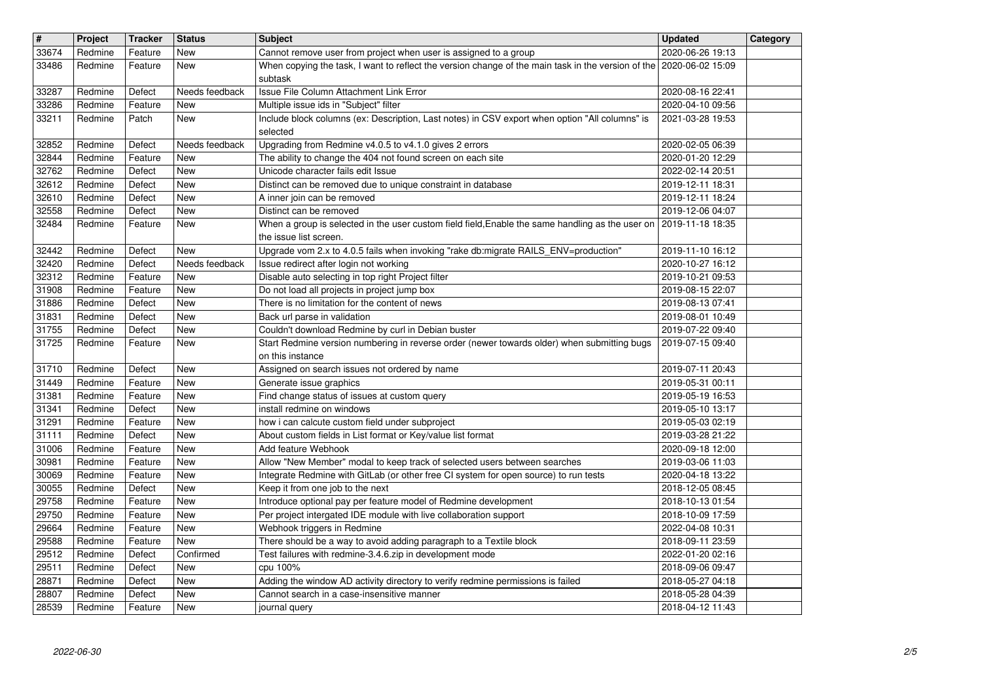| $\overline{\mathbf{H}}$ | Project            | <b>Tracker</b>     | <b>Status</b>           | <b>Subject</b>                                                                                                                                                                          | <b>Updated</b>                       | Category |
|-------------------------|--------------------|--------------------|-------------------------|-----------------------------------------------------------------------------------------------------------------------------------------------------------------------------------------|--------------------------------------|----------|
| 33674<br>33486          | Redmine<br>Redmine | Feature<br>Feature | New<br>New              | Cannot remove user from project when user is assigned to a group<br>When copying the task, I want to reflect the version change of the main task in the version of the 2020-06-02 15:09 | 2020-06-26 19:13                     |          |
|                         |                    |                    |                         | subtask<br>Issue File Column Attachment Link Error                                                                                                                                      |                                      |          |
| 33287<br>33286          | Redmine<br>Redmine | Defect<br>Feature  | Needs feedback<br>New   | Multiple issue ids in "Subject" filter                                                                                                                                                  | 2020-08-16 22:41<br>2020-04-10 09:56 |          |
| 33211                   | Redmine            | Patch              | New                     | Include block columns (ex: Description, Last notes) in CSV export when option "All columns" is<br>selected                                                                              | 2021-03-28 19:53                     |          |
| 32852                   | Redmine            | Defect             | Needs feedback          | Upgrading from Redmine v4.0.5 to v4.1.0 gives 2 errors                                                                                                                                  | 2020-02-05 06:39                     |          |
| 32844<br>32762          | Redmine<br>Redmine | Feature<br>Defect  | New<br>New              | The ability to change the 404 not found screen on each site<br>Unicode character fails edit Issue                                                                                       | 2020-01-20 12:29<br>2022-02-14 20:51 |          |
| 32612                   | Redmine            | Defect             | New                     | Distinct can be removed due to unique constraint in database                                                                                                                            | 2019-12-11 18:31                     |          |
| 32610<br>32558          | Redmine<br>Redmine | Defect<br>Defect   | New<br>New              | A inner join can be removed<br>Distinct can be removed                                                                                                                                  | 2019-12-11 18:24<br>2019-12-06 04:07 |          |
| 32484                   | Redmine            | Feature            | New                     | When a group is selected in the user custom field field, Enable the same handling as the user on                                                                                        | 2019-11-18 18:35                     |          |
| 32442                   | Redmine            | Defect             | New                     | the issue list screen.<br>Upgrade vom 2.x to 4.0.5 fails when invoking "rake db:migrate RAILS_ENV=production"                                                                           | 2019-11-10 16:12                     |          |
| 32420                   | Redmine            | Defect             | Needs feedback          | Issue redirect after login not working                                                                                                                                                  | 2020-10-27 16:12                     |          |
| 32312<br>31908          | Redmine<br>Redmine | Feature<br>Feature | New<br>New              | Disable auto selecting in top right Project filter<br>Do not load all projects in project jump box                                                                                      | 2019-10-21 09:53<br>2019-08-15 22:07 |          |
| 31886                   | Redmine            | Defect             | New                     | There is no limitation for the content of news                                                                                                                                          | 2019-08-13 07:41                     |          |
| 31831<br>31755          | Redmine<br>Redmine | Defect<br>Defect   | New<br>New              | Back url parse in validation<br>Couldn't download Redmine by curl in Debian buster                                                                                                      | 2019-08-01 10:49<br>2019-07-22 09:40 |          |
| 31725                   | Redmine            | Feature            | New                     | Start Redmine version numbering in reverse order (newer towards older) when submitting bugs                                                                                             | 2019-07-15 09:40                     |          |
| 31710                   | Redmine            | Defect             | New                     | on this instance<br>Assigned on search issues not ordered by name                                                                                                                       | 2019-07-11 20:43                     |          |
| 31449                   | Redmine            | Feature            | <b>New</b>              | Generate issue graphics                                                                                                                                                                 | 2019-05-31 00:11                     |          |
| 31381                   | Redmine            | Feature            | New                     | Find change status of issues at custom query                                                                                                                                            | 2019-05-19 16:53                     |          |
| 31341<br>31291          | Redmine<br>Redmine | Defect<br>Feature  | New<br>New              | install redmine on windows<br>how i can calcute custom field under subproject                                                                                                           | 2019-05-10 13:17<br>2019-05-03 02:19 |          |
| 31111                   | Redmine            | Defect             | New                     | About custom fields in List format or Key/value list format                                                                                                                             | 2019-03-28 21:22                     |          |
| 31006<br>30981          | Redmine<br>Redmine | Feature<br>Feature | New<br>New              | Add feature Webhook<br>Allow "New Member" modal to keep track of selected users between searches                                                                                        | 2020-09-18 12:00<br>2019-03-06 11:03 |          |
| 30069                   | Redmine            | Feature            | <b>New</b>              | Integrate Redmine with GitLab (or other free CI system for open source) to run tests                                                                                                    | 2020-04-18 13:22                     |          |
| 30055<br>29758          | Redmine<br>Redmine | Defect<br>Feature  | New<br><b>New</b>       | Keep it from one job to the next<br>Introduce optional pay per feature model of Redmine development                                                                                     | 2018-12-05 08:45<br>2018-10-13 01:54 |          |
| 29750                   | Redmine            | Feature            | New                     | Per project intergated IDE module with live collaboration support                                                                                                                       | 2018-10-09 17:59                     |          |
| 29664                   | Redmine            | Feature            | New                     | Webhook triggers in Redmine                                                                                                                                                             | 2022-04-08 10:31                     |          |
| 29588<br>29512          | Redmine<br>Redmine | Feature<br>Defect  | <b>New</b><br>Confirmed | There should be a way to avoid adding paragraph to a Textile block<br>Test failures with redmine-3.4.6.zip in development mode                                                          | 2018-09-11 23:59<br>2022-01-20 02:16 |          |
| 29511                   | Redmine            | Defect             | New                     | cpu 100%                                                                                                                                                                                | 2018-09-06 09:47                     |          |
| 28871<br>28807          | Redmine<br>Redmine | Defect<br>Defect   | New<br>New              | Adding the window AD activity directory to verify redmine permissions is failed<br>Cannot search in a case-insensitive manner                                                           | 2018-05-27 04:18<br>2018-05-28 04:39 |          |
| 28539                   | Redmine            | Feature            | New                     | journal query                                                                                                                                                                           | 2018-04-12 11:43                     |          |
|                         |                    |                    |                         |                                                                                                                                                                                         |                                      |          |
|                         |                    |                    |                         |                                                                                                                                                                                         |                                      |          |
|                         |                    |                    |                         |                                                                                                                                                                                         |                                      |          |
|                         |                    |                    |                         |                                                                                                                                                                                         |                                      |          |
|                         |                    |                    |                         |                                                                                                                                                                                         |                                      |          |
|                         |                    |                    |                         |                                                                                                                                                                                         |                                      |          |
|                         |                    |                    |                         |                                                                                                                                                                                         |                                      |          |
|                         |                    |                    |                         |                                                                                                                                                                                         |                                      |          |
|                         |                    |                    |                         |                                                                                                                                                                                         |                                      |          |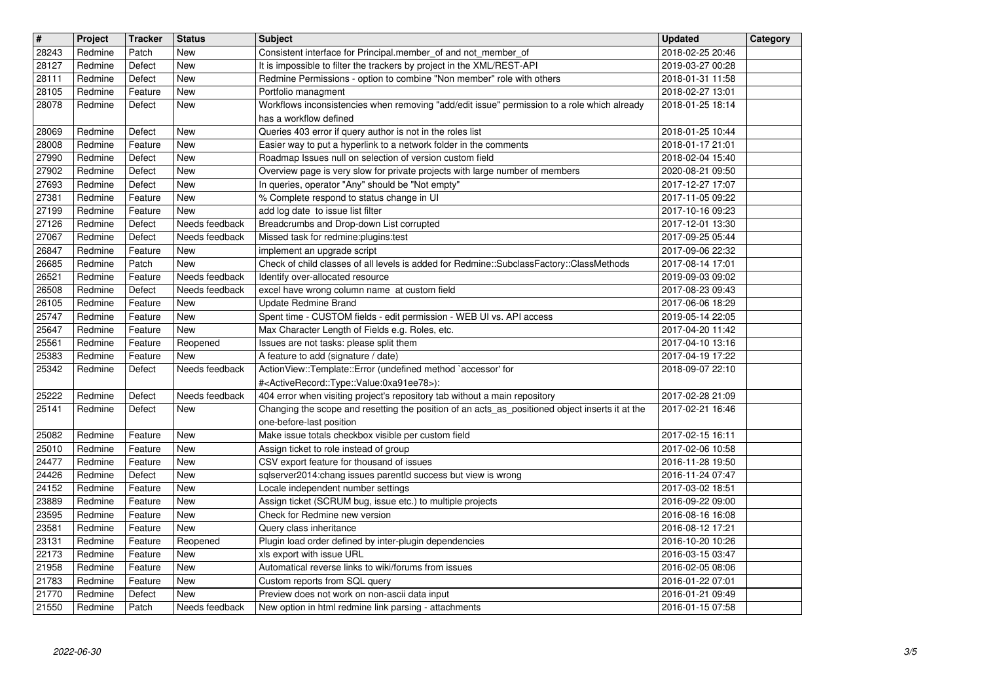| $\overline{\mathbf{H}}$ | Project            | <b>Tracker</b>     | <b>Status</b>            | <b>Subject</b>                                                                                                                                  | <b>Updated</b>                       | Category |
|-------------------------|--------------------|--------------------|--------------------------|-------------------------------------------------------------------------------------------------------------------------------------------------|--------------------------------------|----------|
| 28243                   | Redmine            | Patch              | New                      | Consistent interface for Principal.member_of and not_member_of                                                                                  | 2018-02-25 20:46                     |          |
| 28127                   | Redmine            | Defect             | <b>New</b>               | It is impossible to filter the trackers by project in the XML/REST-API                                                                          | 2019-03-27 00:28                     |          |
| 28111<br>28105          | Redmine<br>Redmine | Defect<br>Feature  | <b>New</b><br><b>New</b> | Redmine Permissions - option to combine "Non member" role with others<br>Portfolio managment                                                    | 2018-01-31 11:58<br>2018-02-27 13:01 |          |
| 28078                   | Redmine            | Defect             | New                      | Workflows inconsistencies when removing "add/edit issue" permission to a role which already                                                     | 2018-01-25 18:14                     |          |
|                         |                    |                    |                          | has a workflow defined                                                                                                                          |                                      |          |
| 28069                   | Redmine            | Defect             | <b>New</b>               | Queries 403 error if query author is not in the roles list                                                                                      | 2018-01-25 10:44                     |          |
| 28008<br>27990          | Redmine<br>Redmine | Feature<br>Defect  | <b>New</b><br>New        | Easier way to put a hyperlink to a network folder in the comments<br>Roadmap Issues null on selection of version custom field                   | 2018-01-17 21:01<br>2018-02-04 15:40 |          |
| 27902                   | Redmine            | Defect             | <b>New</b>               | Overview page is very slow for private projects with large number of members                                                                    | 2020-08-21 09:50                     |          |
| 27693                   | Redmine            | Defect             | <b>New</b>               | In queries, operator "Any" should be "Not empty"                                                                                                | 2017-12-27 17:07                     |          |
| 27381                   | Redmine            | Feature            | <b>New</b>               | % Complete respond to status change in UI                                                                                                       | 2017-11-05 09:22                     |          |
| 27199<br>27126          | Redmine<br>Redmine | Feature<br>Defect  | New<br>Needs feedback    | add log date to issue list filter<br>Breadcrumbs and Drop-down List corrupted                                                                   | 2017-10-16 09:23<br>2017-12-01 13:30 |          |
| 27067                   | Redmine            | Defect             | Needs feedback           | Missed task for redmine:plugins:test                                                                                                            | 2017-09-25 05:44                     |          |
| 26847                   | Redmine            | Feature            | New                      | implement an upgrade script                                                                                                                     | 2017-09-06 22:32                     |          |
| 26685                   | Redmine            | Patch              | New                      | Check of child classes of all levels is added for Redmine::SubclassFactory::ClassMethods                                                        | 2017-08-14 17:01                     |          |
| 26521                   | Redmine            | Feature            | Needs feedback           | Identify over-allocated resource                                                                                                                | 2019-09-03 09:02                     |          |
| 26508<br>26105          | Redmine<br>Redmine | Defect<br>Feature  | Needs feedback<br>New    | excel have wrong column name at custom field<br>Update Redmine Brand                                                                            | 2017-08-23 09:43<br>2017-06-06 18:29 |          |
| 25747                   | Redmine            | Feature            | <b>New</b>               | Spent time - CUSTOM fields - edit permission - WEB UI vs. API access                                                                            | 2019-05-14 22:05                     |          |
| 25647                   | Redmine            | Feature            | <b>New</b>               | Max Character Length of Fields e.g. Roles, etc.                                                                                                 | 2017-04-20 11:42                     |          |
| 25561                   | Redmine            | Feature            | Reopened                 | Issues are not tasks: please split them                                                                                                         | 2017-04-10 13:16                     |          |
| 25383                   | Redmine            | Feature            | New                      | A feature to add (signature / date)                                                                                                             | 2017-04-19 17:22                     |          |
| 25342                   | Redmine            | Defect             | Needs feedback           | ActionView::Template::Error (undefined method `accessor' for<br># <activerecord::type::value:0xa91ee78>):</activerecord::type::value:0xa91ee78> | 2018-09-07 22:10                     |          |
| 25222                   | Redmine            | Defect             | Needs feedback           | 404 error when visiting project's repository tab without a main repository                                                                      | 2017-02-28 21:09                     |          |
| 25141                   | Redmine            | Defect             | New                      | Changing the scope and resetting the position of an acts_as_positioned object inserts it at the                                                 | 2017-02-21 16:46                     |          |
|                         |                    |                    |                          | one-before-last position                                                                                                                        |                                      |          |
| 25082                   | Redmine            | Feature            | <b>New</b>               | Make issue totals checkbox visible per custom field                                                                                             | 2017-02-15 16:11                     |          |
| 25010<br>24477          | Redmine<br>Redmine | Feature<br>Feature | <b>New</b><br>New        | Assign ticket to role instead of group<br>CSV export feature for thousand of issues                                                             | 2017-02-06 10:58<br>2016-11-28 19:50 |          |
| 24426                   | Redmine            | Defect             | <b>New</b>               | sqlserver2014:chang issues parentld success but view is wrong                                                                                   | 2016-11-24 07:47                     |          |
| 24152                   | Redmine            | Feature            | <b>New</b>               | Locale independent number settings                                                                                                              | 2017-03-02 18:51                     |          |
| 23889                   | Redmine            | Feature            | <b>New</b>               | Assign ticket (SCRUM bug, issue etc.) to multiple projects                                                                                      | 2016-09-22 09:00                     |          |
| 23595<br>23581          | Redmine<br>Redmine | Feature<br>Feature | <b>New</b><br>New        | Check for Redmine new version<br>Query class inheritance                                                                                        | 2016-08-16 16:08<br>2016-08-12 17:21 |          |
| 23131                   | Redmine            | Feature            | Reopened                 | Plugin load order defined by inter-plugin dependencies                                                                                          | 2016-10-20 10:26                     |          |
| 22173                   | Redmine            | Feature            | New                      | xls export with issue URL                                                                                                                       | 2016-03-15 03:47                     |          |
| 21958                   | Redmine            | Feature            | New                      | Automatical reverse links to wiki/forums from issues                                                                                            | 2016-02-05 08:06                     |          |
| $\sqrt{21783}$          | Redmine            | Feature            | New                      | Custom reports from SQL query                                                                                                                   | 2016-01-22 07:01                     |          |
| 21770<br>21550          | Redmine<br>Redmine | Defect<br>Patch    | New<br>Needs feedback    | Preview does not work on non-ascii data input<br>New option in html redmine link parsing - attachments                                          | 2016-01-21 09:49<br>2016-01-15 07:58 |          |
|                         |                    |                    |                          |                                                                                                                                                 |                                      |          |
|                         |                    |                    |                          |                                                                                                                                                 |                                      |          |
|                         |                    |                    |                          |                                                                                                                                                 |                                      |          |
|                         |                    |                    |                          |                                                                                                                                                 |                                      |          |
|                         |                    |                    |                          |                                                                                                                                                 |                                      |          |
|                         |                    |                    |                          |                                                                                                                                                 |                                      |          |
|                         |                    |                    |                          |                                                                                                                                                 |                                      |          |
|                         |                    |                    |                          |                                                                                                                                                 |                                      |          |
|                         |                    |                    |                          |                                                                                                                                                 |                                      |          |
|                         |                    |                    |                          |                                                                                                                                                 |                                      |          |
|                         |                    |                    |                          |                                                                                                                                                 |                                      |          |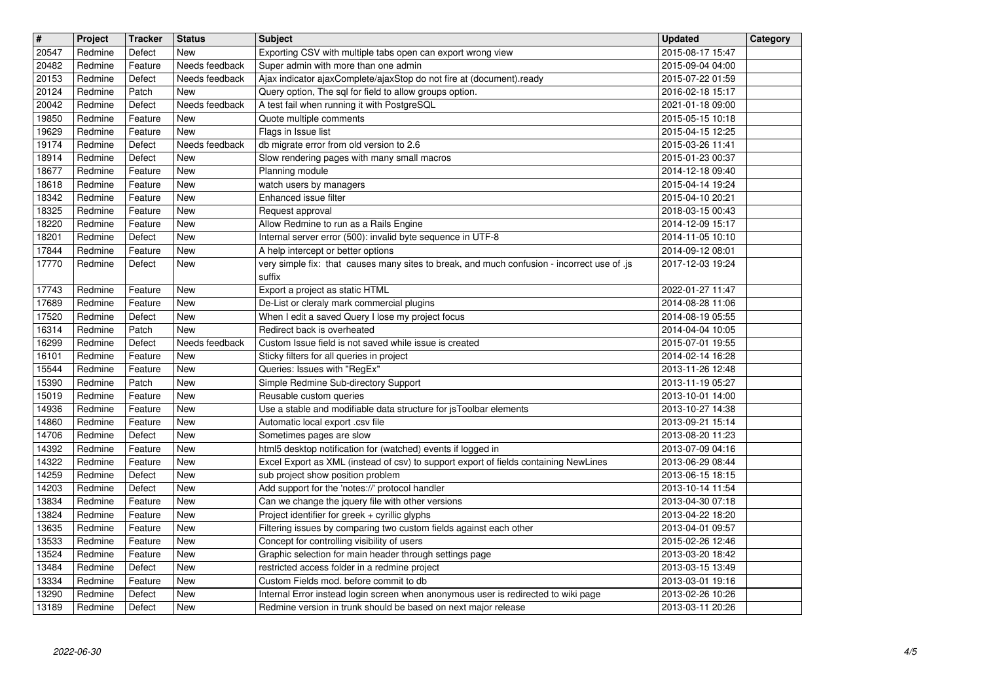| $\overline{\mathbf{H}}$ | Project            | <b>Tracker</b>     | <b>Status</b>                | <b>Subject</b>                                                                                                                                       | <b>Updated</b>                       | Category |
|-------------------------|--------------------|--------------------|------------------------------|------------------------------------------------------------------------------------------------------------------------------------------------------|--------------------------------------|----------|
| 20547<br>20482          | Redmine<br>Redmine | Defect<br>Feature  | <b>New</b><br>Needs feedback | Exporting CSV with multiple tabs open can export wrong view<br>Super admin with more than one admin                                                  | 2015-08-17 15:47<br>2015-09-04 04:00 |          |
| 20153                   | Redmine            | Defect             | Needs feedback               | Ajax indicator ajaxComplete/ajaxStop do not fire at (document).ready                                                                                 | 2015-07-22 01:59                     |          |
| 20124                   | Redmine            | Patch              | <b>New</b>                   | Query option, The sql for field to allow groups option.                                                                                              | 2016-02-18 15:17                     |          |
| 20042<br>19850          | Redmine<br>Redmine | Defect<br>Feature  | Needs feedback<br><b>New</b> | A test fail when running it with PostgreSQL<br>Quote multiple comments                                                                               | 2021-01-18 09:00<br>2015-05-15 10:18 |          |
| 19629                   | Redmine            | Feature            | <b>New</b>                   | Flags in Issue list                                                                                                                                  | 2015-04-15 12:25                     |          |
| 19174                   | Redmine            | Defect             | Needs feedback               | db migrate error from old version to 2.6<br>Slow rendering pages with many small macros                                                              | 2015-03-26 11:41<br>2015-01-23 00:37 |          |
| 18914<br>18677          | Redmine<br>Redmine | Defect<br>Feature  | <b>New</b><br><b>New</b>     | Planning module                                                                                                                                      | 2014-12-18 09:40                     |          |
| 18618                   | Redmine            | Feature            | <b>New</b>                   | watch users by managers                                                                                                                              | 2015-04-14 19:24                     |          |
| 18342<br>18325          | Redmine<br>Redmine | Feature<br>Feature | <b>New</b><br>New            | Enhanced issue filter<br>Request approval                                                                                                            | 2015-04-10 20:21<br>2018-03-15 00:43 |          |
| 18220                   | Redmine            | Feature            | <b>New</b>                   | Allow Redmine to run as a Rails Engine                                                                                                               | 2014-12-09 15:17                     |          |
| 18201                   | Redmine            | Defect             | <b>New</b>                   | Internal server error (500): invalid byte sequence in UTF-8                                                                                          | 2014-11-05 10:10                     |          |
| 17844<br>17770          | Redmine<br>Redmine | Feature<br>Defect  | <b>New</b><br>New            | A help intercept or better options<br>very simple fix: that causes many sites to break, and much confusion - incorrect use of .js                    | 2014-09-12 08:01<br>2017-12-03 19:24 |          |
|                         |                    |                    |                              | suffix                                                                                                                                               |                                      |          |
| 17743                   | Redmine            | Feature            | <b>New</b>                   | Export a project as static HTML                                                                                                                      | 2022-01-27 11:47                     |          |
| 17689<br>17520          | Redmine<br>Redmine | Feature<br>Defect  | <b>New</b><br><b>New</b>     | De-List or cleraly mark commercial plugins<br>When I edit a saved Query I lose my project focus                                                      | 2014-08-28 11:06<br>2014-08-19 05:55 |          |
| 16314                   | Redmine            | Patch              | <b>New</b>                   | Redirect back is overheated                                                                                                                          | 2014-04-04 10:05                     |          |
| 16299<br>16101          | Redmine<br>Redmine | Defect<br>Feature  | Needs feedback<br><b>New</b> | Custom Issue field is not saved while issue is created<br>Sticky filters for all queries in project                                                  | 2015-07-01 19:55<br>2014-02-14 16:28 |          |
| 15544                   | Redmine            | Feature            | <b>New</b>                   | Queries: Issues with "RegEx"                                                                                                                         | 2013-11-26 12:48                     |          |
| 15390                   | Redmine            | Patch              | <b>New</b>                   | Simple Redmine Sub-directory Support                                                                                                                 | 2013-11-19 05:27                     |          |
| 15019<br>14936          | Redmine<br>Redmine | Feature<br>Feature | New<br><b>New</b>            | Reusable custom queries<br>Use a stable and modifiable data structure for jsToolbar elements                                                         | 2013-10-01 14:00<br>2013-10-27 14:38 |          |
| 14860                   | Redmine            | Feature            | <b>New</b>                   | Automatic local export .csv file                                                                                                                     | 2013-09-21 15:14                     |          |
| 14706                   | Redmine            | Defect             | <b>New</b>                   | Sometimes pages are slow                                                                                                                             | 2013-08-20 11:23                     |          |
| 14392<br>14322          | Redmine<br>Redmine | Feature<br>Feature | <b>New</b><br><b>New</b>     | html5 desktop notification for (watched) events if logged in<br>Excel Export as XML (instead of csv) to support export of fields containing NewLines | 2013-07-09 04:16<br>2013-06-29 08:44 |          |
| 14259                   | Redmine            | Defect             | <b>New</b>                   | sub project show position problem                                                                                                                    | 2013-06-15 18:15                     |          |
| 14203                   | Redmine            | Defect             | <b>New</b>                   | Add support for the 'notes://' protocol handler                                                                                                      | 2013-10-14 11:54                     |          |
| 13834<br>13824          | Redmine<br>Redmine | Feature<br>Feature | <b>New</b><br>New            | Can we change the jquery file with other versions<br>Project identifier for greek + cyrillic glyphs                                                  | 2013-04-30 07:18<br>2013-04-22 18:20 |          |
| 13635                   | Redmine            | Feature            | <b>New</b>                   | Filtering issues by comparing two custom fields against each other                                                                                   | 2013-04-01 09:57                     |          |
| 13533                   | Redmine            | Feature            | <b>New</b>                   | Concept for controlling visibility of users                                                                                                          | 2015-02-26 12:46                     |          |
| 13524<br>13484          | Redmine<br>Redmine | Feature<br>Defect  | New<br>New                   | Graphic selection for main header through settings page<br>restricted access folder in a redmine project                                             | 2013-03-20 18:42<br>2013-03-15 13:49 |          |
| 13334                   | Redmine            | Feature            | New                          | Custom Fields mod. before commit to db                                                                                                               | 2013-03-01 19:16                     |          |
| 13290<br>13189          | Redmine<br>Redmine | Defect<br>Defect   | New<br>New                   | Internal Error instead login screen when anonymous user is redirected to wiki page<br>Redmine version in trunk should be based on next major release | 2013-02-26 10:26<br>2013-03-11 20:26 |          |
|                         |                    |                    |                              |                                                                                                                                                      |                                      |          |
|                         |                    |                    |                              |                                                                                                                                                      |                                      |          |
|                         |                    |                    |                              |                                                                                                                                                      |                                      |          |
|                         |                    |                    |                              |                                                                                                                                                      |                                      |          |
|                         |                    |                    |                              |                                                                                                                                                      |                                      |          |
|                         |                    |                    |                              |                                                                                                                                                      |                                      |          |
|                         |                    |                    |                              |                                                                                                                                                      |                                      |          |
|                         |                    |                    |                              |                                                                                                                                                      |                                      |          |
|                         |                    |                    |                              |                                                                                                                                                      |                                      |          |
|                         |                    |                    |                              |                                                                                                                                                      |                                      |          |